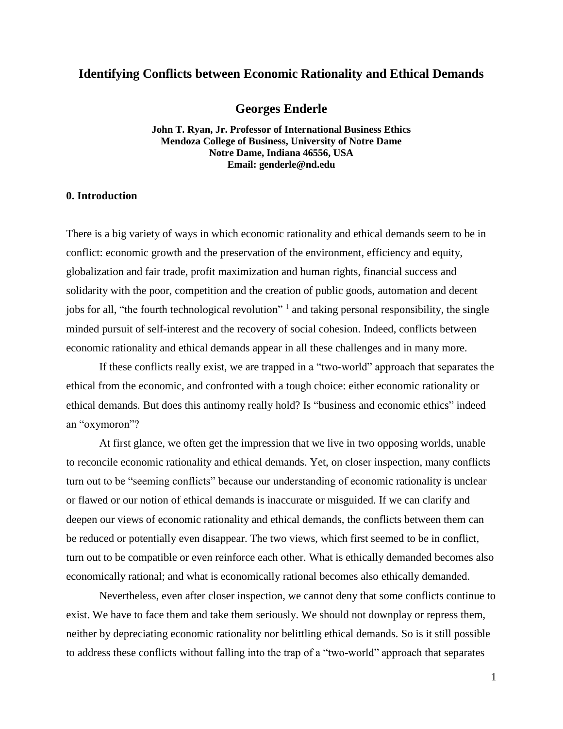# **Identifying Conflicts between Economic Rationality and Ethical Demands**

# **Georges Enderle**

**John T. Ryan, Jr. Professor of International Business Ethics Mendoza College of Business, University of Notre Dame Notre Dame, Indiana 46556, USA Email: genderle@nd.edu**

#### **0. Introduction**

There is a big variety of ways in which economic rationality and ethical demands seem to be in conflict: economic growth and the preservation of the environment, efficiency and equity, globalization and fair trade, profit maximization and human rights, financial success and solidarity with the poor, competition and the creation of public goods, automation and decent jobs for all, "the fourth technological revolution" and taking personal responsibility, the single minded pursuit of self-interest and the recovery of social cohesion. Indeed, conflicts between economic rationality and ethical demands appear in all these challenges and in many more.

If these conflicts really exist, we are trapped in a "two-world" approach that separates the ethical from the economic, and confronted with a tough choice: either economic rationality or ethical demands. But does this antinomy really hold? Is "business and economic ethics" indeed an "oxymoron"?

At first glance, we often get the impression that we live in two opposing worlds, unable to reconcile economic rationality and ethical demands. Yet, on closer inspection, many conflicts turn out to be "seeming conflicts" because our understanding of economic rationality is unclear or flawed or our notion of ethical demands is inaccurate or misguided. If we can clarify and deepen our views of economic rationality and ethical demands, the conflicts between them can be reduced or potentially even disappear. The two views, which first seemed to be in conflict, turn out to be compatible or even reinforce each other. What is ethically demanded becomes also economically rational; and what is economically rational becomes also ethically demanded.

Nevertheless, even after closer inspection, we cannot deny that some conflicts continue to exist. We have to face them and take them seriously. We should not downplay or repress them, neither by depreciating economic rationality nor belittling ethical demands. So is it still possible to address these conflicts without falling into the trap of a "two-world" approach that separates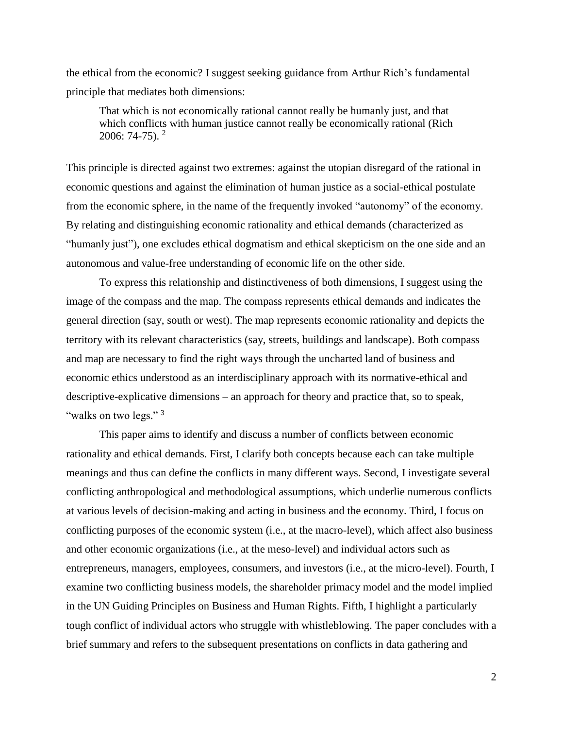the ethical from the economic? I suggest seeking guidance from Arthur Rich's fundamental principle that mediates both dimensions:

That which is not economically rational cannot really be humanly just, and that which conflicts with human justice cannot really be economically rational (Rich 2006: 74-75). 2

This principle is directed against two extremes: against the utopian disregard of the rational in economic questions and against the elimination of human justice as a social-ethical postulate from the economic sphere, in the name of the frequently invoked "autonomy" of the economy. By relating and distinguishing economic rationality and ethical demands (characterized as "humanly just"), one excludes ethical dogmatism and ethical skepticism on the one side and an autonomous and value-free understanding of economic life on the other side.

To express this relationship and distinctiveness of both dimensions, I suggest using the image of the compass and the map. The compass represents ethical demands and indicates the general direction (say, south or west). The map represents economic rationality and depicts the territory with its relevant characteristics (say, streets, buildings and landscape). Both compass and map are necessary to find the right ways through the uncharted land of business and economic ethics understood as an interdisciplinary approach with its normative-ethical and descriptive-explicative dimensions – an approach for theory and practice that, so to speak, "walks on two legs."<sup>3</sup>

This paper aims to identify and discuss a number of conflicts between economic rationality and ethical demands. First, I clarify both concepts because each can take multiple meanings and thus can define the conflicts in many different ways. Second, I investigate several conflicting anthropological and methodological assumptions, which underlie numerous conflicts at various levels of decision-making and acting in business and the economy. Third, I focus on conflicting purposes of the economic system (i.e., at the macro-level), which affect also business and other economic organizations (i.e., at the meso-level) and individual actors such as entrepreneurs, managers, employees, consumers, and investors (i.e., at the micro-level). Fourth, I examine two conflicting business models, the shareholder primacy model and the model implied in the UN Guiding Principles on Business and Human Rights. Fifth, I highlight a particularly tough conflict of individual actors who struggle with whistleblowing. The paper concludes with a brief summary and refers to the subsequent presentations on conflicts in data gathering and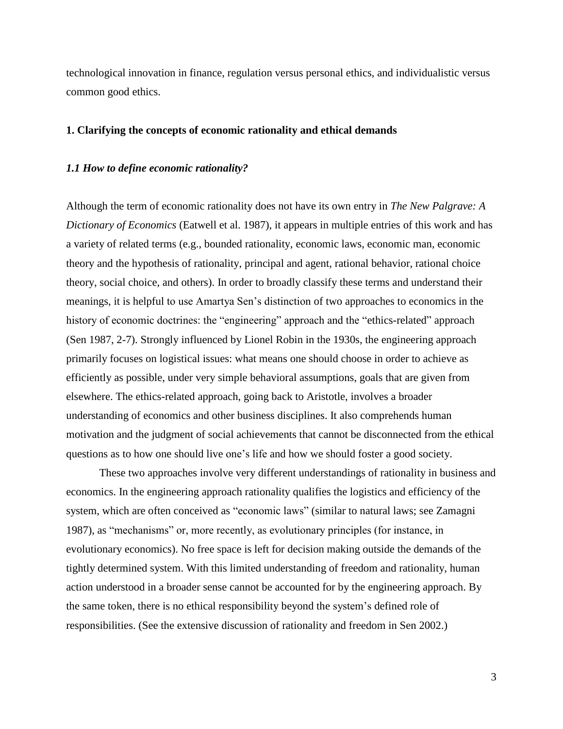technological innovation in finance, regulation versus personal ethics, and individualistic versus common good ethics.

## **1. Clarifying the concepts of economic rationality and ethical demands**

# *1.1 How to define economic rationality?*

Although the term of economic rationality does not have its own entry in *The New Palgrave: A Dictionary of Economics* (Eatwell et al. 1987), it appears in multiple entries of this work and has a variety of related terms (e.g., bounded rationality, economic laws, economic man, economic theory and the hypothesis of rationality, principal and agent, rational behavior, rational choice theory, social choice, and others). In order to broadly classify these terms and understand their meanings, it is helpful to use Amartya Sen's distinction of two approaches to economics in the history of economic doctrines: the "engineering" approach and the "ethics-related" approach (Sen 1987, 2-7). Strongly influenced by Lionel Robin in the 1930s, the engineering approach primarily focuses on logistical issues: what means one should choose in order to achieve as efficiently as possible, under very simple behavioral assumptions, goals that are given from elsewhere. The ethics-related approach, going back to Aristotle, involves a broader understanding of economics and other business disciplines. It also comprehends human motivation and the judgment of social achievements that cannot be disconnected from the ethical questions as to how one should live one's life and how we should foster a good society.

These two approaches involve very different understandings of rationality in business and economics. In the engineering approach rationality qualifies the logistics and efficiency of the system, which are often conceived as "economic laws" (similar to natural laws; see Zamagni 1987), as "mechanisms" or, more recently, as evolutionary principles (for instance, in evolutionary economics). No free space is left for decision making outside the demands of the tightly determined system. With this limited understanding of freedom and rationality, human action understood in a broader sense cannot be accounted for by the engineering approach. By the same token, there is no ethical responsibility beyond the system's defined role of responsibilities. (See the extensive discussion of rationality and freedom in Sen 2002.)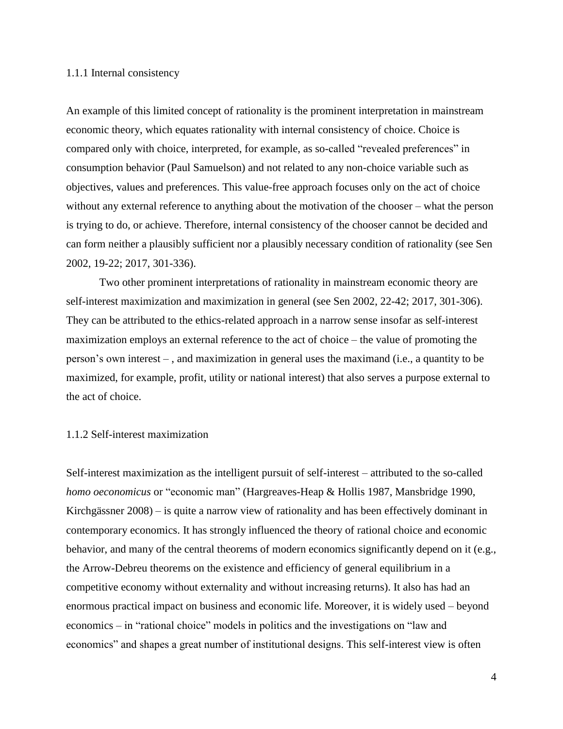### 1.1.1 Internal consistency

An example of this limited concept of rationality is the prominent interpretation in mainstream economic theory, which equates rationality with internal consistency of choice. Choice is compared only with choice, interpreted, for example, as so-called "revealed preferences" in consumption behavior (Paul Samuelson) and not related to any non-choice variable such as objectives, values and preferences. This value-free approach focuses only on the act of choice without any external reference to anything about the motivation of the chooser – what the person is trying to do, or achieve. Therefore, internal consistency of the chooser cannot be decided and can form neither a plausibly sufficient nor a plausibly necessary condition of rationality (see Sen 2002, 19-22; 2017, 301-336).

Two other prominent interpretations of rationality in mainstream economic theory are self-interest maximization and maximization in general (see Sen 2002, 22-42; 2017, 301-306). They can be attributed to the ethics-related approach in a narrow sense insofar as self-interest maximization employs an external reference to the act of choice – the value of promoting the person's own interest – , and maximization in general uses the maximand (i.e., a quantity to be maximized, for example, profit, utility or national interest) that also serves a purpose external to the act of choice.

## 1.1.2 Self-interest maximization

Self-interest maximization as the intelligent pursuit of self-interest – attributed to the so-called *homo oeconomicus* or "economic man" (Hargreaves-Heap & Hollis 1987, Mansbridge 1990, Kirchgässner 2008) – is quite a narrow view of rationality and has been effectively dominant in contemporary economics. It has strongly influenced the theory of rational choice and economic behavior, and many of the central theorems of modern economics significantly depend on it (e.g., the Arrow-Debreu theorems on the existence and efficiency of general equilibrium in a competitive economy without externality and without increasing returns). It also has had an enormous practical impact on business and economic life. Moreover, it is widely used – beyond economics – in "rational choice" models in politics and the investigations on "law and economics" and shapes a great number of institutional designs. This self-interest view is often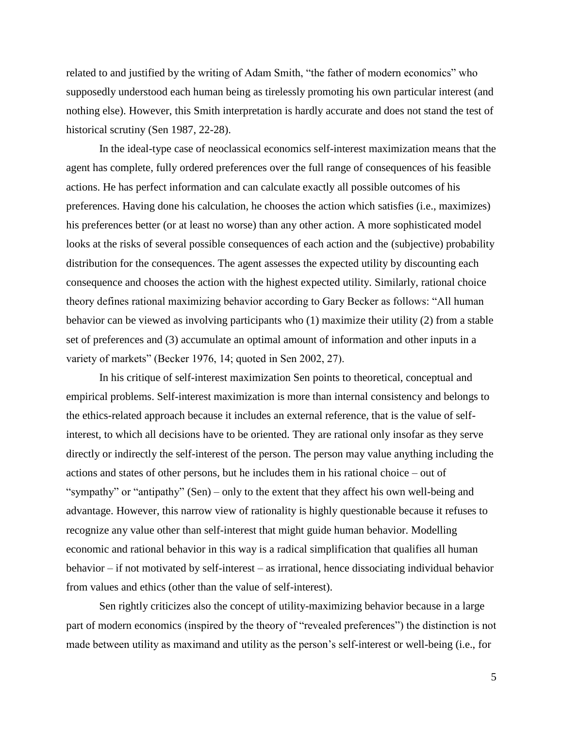related to and justified by the writing of Adam Smith, "the father of modern economics" who supposedly understood each human being as tirelessly promoting his own particular interest (and nothing else). However, this Smith interpretation is hardly accurate and does not stand the test of historical scrutiny (Sen 1987, 22-28).

In the ideal-type case of neoclassical economics self-interest maximization means that the agent has complete, fully ordered preferences over the full range of consequences of his feasible actions. He has perfect information and can calculate exactly all possible outcomes of his preferences. Having done his calculation, he chooses the action which satisfies (i.e., maximizes) his preferences better (or at least no worse) than any other action. A more sophisticated model looks at the risks of several possible consequences of each action and the (subjective) probability distribution for the consequences. The agent assesses the expected utility by discounting each consequence and chooses the action with the highest expected utility. Similarly, rational choice theory defines rational maximizing behavior according to Gary Becker as follows: "All human behavior can be viewed as involving participants who (1) maximize their utility (2) from a stable set of preferences and (3) accumulate an optimal amount of information and other inputs in a variety of markets" (Becker 1976, 14; quoted in Sen 2002, 27).

In his critique of self-interest maximization Sen points to theoretical, conceptual and empirical problems. Self-interest maximization is more than internal consistency and belongs to the ethics-related approach because it includes an external reference, that is the value of selfinterest, to which all decisions have to be oriented. They are rational only insofar as they serve directly or indirectly the self-interest of the person. The person may value anything including the actions and states of other persons, but he includes them in his rational choice – out of "sympathy" or "antipathy" (Sen) – only to the extent that they affect his own well-being and advantage. However, this narrow view of rationality is highly questionable because it refuses to recognize any value other than self-interest that might guide human behavior. Modelling economic and rational behavior in this way is a radical simplification that qualifies all human behavior – if not motivated by self-interest – as irrational, hence dissociating individual behavior from values and ethics (other than the value of self-interest).

Sen rightly criticizes also the concept of utility-maximizing behavior because in a large part of modern economics (inspired by the theory of "revealed preferences") the distinction is not made between utility as maximand and utility as the person's self-interest or well-being (i.e., for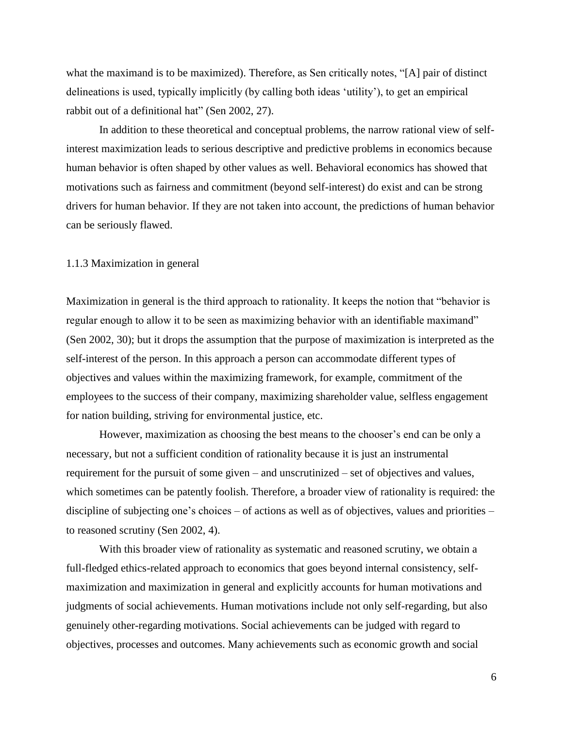what the maximand is to be maximized). Therefore, as Sen critically notes, "[A] pair of distinct delineations is used, typically implicitly (by calling both ideas 'utility'), to get an empirical rabbit out of a definitional hat" (Sen 2002, 27).

In addition to these theoretical and conceptual problems, the narrow rational view of selfinterest maximization leads to serious descriptive and predictive problems in economics because human behavior is often shaped by other values as well. Behavioral economics has showed that motivations such as fairness and commitment (beyond self-interest) do exist and can be strong drivers for human behavior. If they are not taken into account, the predictions of human behavior can be seriously flawed.

#### 1.1.3 Maximization in general

Maximization in general is the third approach to rationality. It keeps the notion that "behavior is regular enough to allow it to be seen as maximizing behavior with an identifiable maximand" (Sen 2002, 30); but it drops the assumption that the purpose of maximization is interpreted as the self-interest of the person. In this approach a person can accommodate different types of objectives and values within the maximizing framework, for example, commitment of the employees to the success of their company, maximizing shareholder value, selfless engagement for nation building, striving for environmental justice, etc.

However, maximization as choosing the best means to the chooser's end can be only a necessary, but not a sufficient condition of rationality because it is just an instrumental requirement for the pursuit of some given – and unscrutinized – set of objectives and values, which sometimes can be patently foolish. Therefore, a broader view of rationality is required: the discipline of subjecting one's choices – of actions as well as of objectives, values and priorities – to reasoned scrutiny (Sen 2002, 4).

With this broader view of rationality as systematic and reasoned scrutiny, we obtain a full-fledged ethics-related approach to economics that goes beyond internal consistency, selfmaximization and maximization in general and explicitly accounts for human motivations and judgments of social achievements. Human motivations include not only self-regarding, but also genuinely other-regarding motivations. Social achievements can be judged with regard to objectives, processes and outcomes. Many achievements such as economic growth and social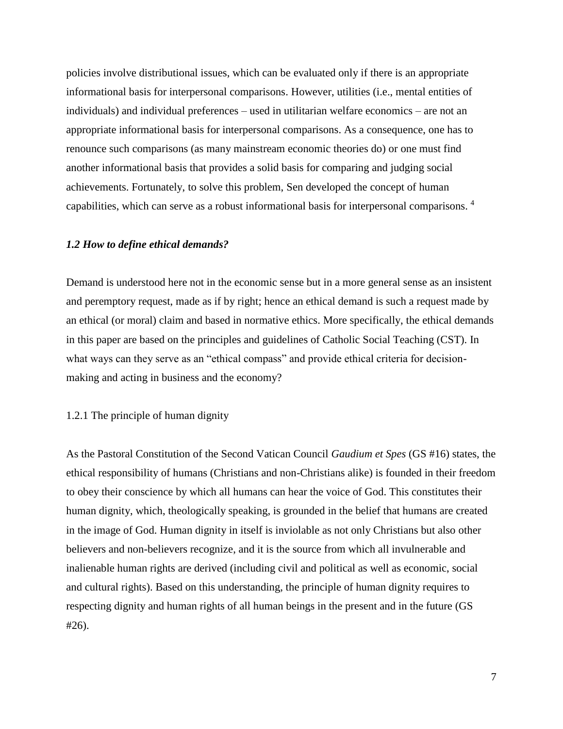policies involve distributional issues, which can be evaluated only if there is an appropriate informational basis for interpersonal comparisons. However, utilities (i.e., mental entities of individuals) and individual preferences – used in utilitarian welfare economics – are not an appropriate informational basis for interpersonal comparisons. As a consequence, one has to renounce such comparisons (as many mainstream economic theories do) or one must find another informational basis that provides a solid basis for comparing and judging social achievements. Fortunately, to solve this problem, Sen developed the concept of human capabilities, which can serve as a robust informational basis for interpersonal comparisons. 4

## *1.2 How to define ethical demands?*

Demand is understood here not in the economic sense but in a more general sense as an insistent and peremptory request, made as if by right; hence an ethical demand is such a request made by an ethical (or moral) claim and based in normative ethics. More specifically, the ethical demands in this paper are based on the principles and guidelines of Catholic Social Teaching (CST). In what ways can they serve as an "ethical compass" and provide ethical criteria for decisionmaking and acting in business and the economy?

#### 1.2.1 The principle of human dignity

As the Pastoral Constitution of the Second Vatican Council *Gaudium et Spes* (GS #16) states, the ethical responsibility of humans (Christians and non-Christians alike) is founded in their freedom to obey their conscience by which all humans can hear the voice of God. This constitutes their human dignity, which, theologically speaking, is grounded in the belief that humans are created in the image of God. Human dignity in itself is inviolable as not only Christians but also other believers and non-believers recognize, and it is the source from which all invulnerable and inalienable human rights are derived (including civil and political as well as economic, social and cultural rights). Based on this understanding, the principle of human dignity requires to respecting dignity and human rights of all human beings in the present and in the future (GS #26).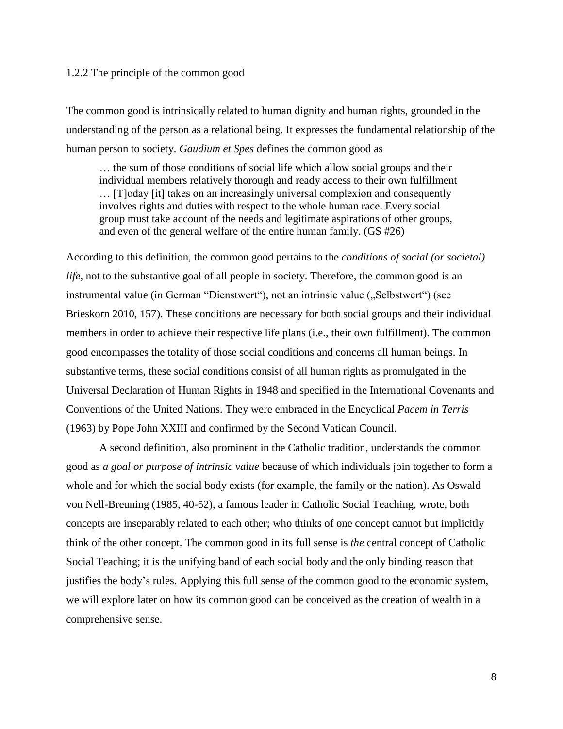# 1.2.2 The principle of the common good

The common good is intrinsically related to human dignity and human rights, grounded in the understanding of the person as a relational being. It expresses the fundamental relationship of the human person to society. *Gaudium et Spes* defines the common good as

… the sum of those conditions of social life which allow social groups and their individual members relatively thorough and ready access to their own fulfillment … [T]oday [it] takes on an increasingly universal complexion and consequently involves rights and duties with respect to the whole human race. Every social group must take account of the needs and legitimate aspirations of other groups, and even of the general welfare of the entire human family. (GS #26)

According to this definition, the common good pertains to the *conditions of social (or societal) life*, not to the substantive goal of all people in society. Therefore, the common good is an instrumental value (in German "Dienstwert"), not an intrinsic value ("Selbstwert") (see Brieskorn 2010, 157). These conditions are necessary for both social groups and their individual members in order to achieve their respective life plans (i.e., their own fulfillment). The common good encompasses the totality of those social conditions and concerns all human beings. In substantive terms, these social conditions consist of all human rights as promulgated in the Universal Declaration of Human Rights in 1948 and specified in the International Covenants and Conventions of the United Nations. They were embraced in the Encyclical *Pacem in Terris* (1963) by Pope John XXIII and confirmed by the Second Vatican Council.

A second definition, also prominent in the Catholic tradition, understands the common good as *a goal or purpose of intrinsic value* because of which individuals join together to form a whole and for which the social body exists (for example, the family or the nation). As Oswald von Nell-Breuning (1985, 40-52), a famous leader in Catholic Social Teaching, wrote, both concepts are inseparably related to each other; who thinks of one concept cannot but implicitly think of the other concept. The common good in its full sense is *the* central concept of Catholic Social Teaching; it is the unifying band of each social body and the only binding reason that justifies the body's rules. Applying this full sense of the common good to the economic system, we will explore later on how its common good can be conceived as the creation of wealth in a comprehensive sense.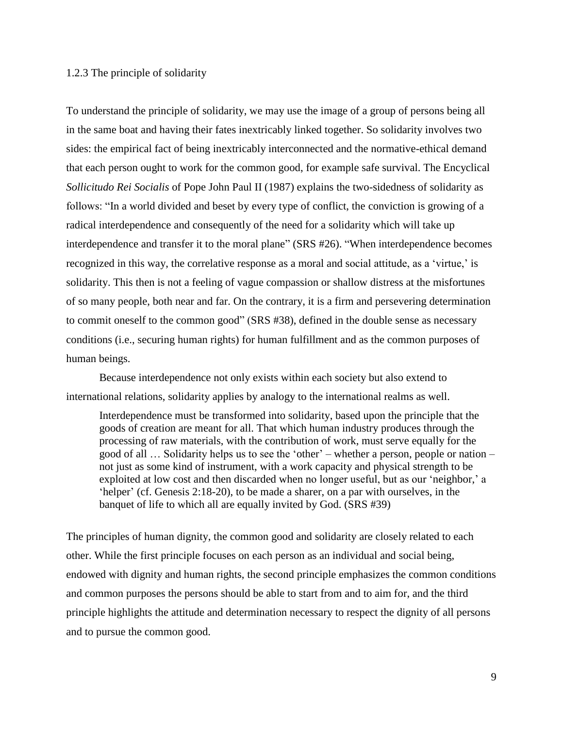## 1.2.3 The principle of solidarity

To understand the principle of solidarity, we may use the image of a group of persons being all in the same boat and having their fates inextricably linked together. So solidarity involves two sides: the empirical fact of being inextricably interconnected and the normative-ethical demand that each person ought to work for the common good, for example safe survival. The Encyclical *Sollicitudo Rei Socialis* of Pope John Paul II (1987) explains the two-sidedness of solidarity as follows: "In a world divided and beset by every type of conflict, the conviction is growing of a radical interdependence and consequently of the need for a solidarity which will take up interdependence and transfer it to the moral plane" (SRS #26). "When interdependence becomes recognized in this way, the correlative response as a moral and social attitude, as a 'virtue,' is solidarity. This then is not a feeling of vague compassion or shallow distress at the misfortunes of so many people, both near and far. On the contrary, it is a firm and persevering determination to commit oneself to the common good" (SRS #38), defined in the double sense as necessary conditions (i.e., securing human rights) for human fulfillment and as the common purposes of human beings.

Because interdependence not only exists within each society but also extend to international relations, solidarity applies by analogy to the international realms as well.

Interdependence must be transformed into solidarity, based upon the principle that the goods of creation are meant for all. That which human industry produces through the processing of raw materials, with the contribution of work, must serve equally for the good of all … Solidarity helps us to see the 'other' – whether a person, people or nation – not just as some kind of instrument, with a work capacity and physical strength to be exploited at low cost and then discarded when no longer useful, but as our 'neighbor,' a 'helper' (cf. Genesis 2:18-20), to be made a sharer, on a par with ourselves, in the banquet of life to which all are equally invited by God. (SRS #39)

The principles of human dignity, the common good and solidarity are closely related to each other. While the first principle focuses on each person as an individual and social being, endowed with dignity and human rights, the second principle emphasizes the common conditions and common purposes the persons should be able to start from and to aim for, and the third principle highlights the attitude and determination necessary to respect the dignity of all persons and to pursue the common good.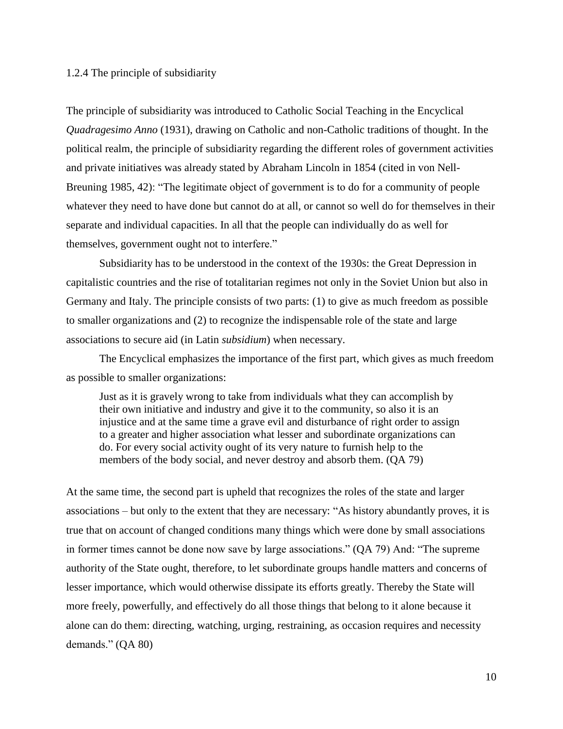# 1.2.4 The principle of subsidiarity

The principle of subsidiarity was introduced to Catholic Social Teaching in the Encyclical *Quadragesimo Anno* (1931), drawing on Catholic and non-Catholic traditions of thought. In the political realm, the principle of subsidiarity regarding the different roles of government activities and private initiatives was already stated by Abraham Lincoln in 1854 (cited in von Nell-Breuning 1985, 42): "The legitimate object of government is to do for a community of people whatever they need to have done but cannot do at all, or cannot so well do for themselves in their separate and individual capacities. In all that the people can individually do as well for themselves, government ought not to interfere."

Subsidiarity has to be understood in the context of the 1930s: the Great Depression in capitalistic countries and the rise of totalitarian regimes not only in the Soviet Union but also in Germany and Italy. The principle consists of two parts: (1) to give as much freedom as possible to smaller organizations and (2) to recognize the indispensable role of the state and large associations to secure aid (in Latin *subsidium*) when necessary.

The Encyclical emphasizes the importance of the first part, which gives as much freedom as possible to smaller organizations:

Just as it is gravely wrong to take from individuals what they can accomplish by their own initiative and industry and give it to the community, so also it is an injustice and at the same time a grave evil and disturbance of right order to assign to a greater and higher association what lesser and subordinate organizations can do. For every social activity ought of its very nature to furnish help to the members of the body social, and never destroy and absorb them. (QA 79)

At the same time, the second part is upheld that recognizes the roles of the state and larger associations – but only to the extent that they are necessary: "As history abundantly proves, it is true that on account of changed conditions many things which were done by small associations in former times cannot be done now save by large associations." (QA 79) And: "The supreme authority of the State ought, therefore, to let subordinate groups handle matters and concerns of lesser importance, which would otherwise dissipate its efforts greatly. Thereby the State will more freely, powerfully, and effectively do all those things that belong to it alone because it alone can do them: directing, watching, urging, restraining, as occasion requires and necessity demands." (QA 80)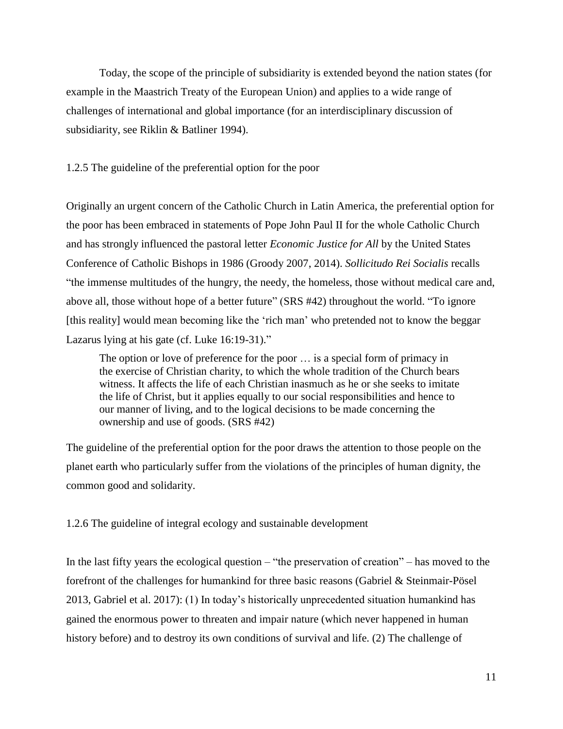Today, the scope of the principle of subsidiarity is extended beyond the nation states (for example in the Maastrich Treaty of the European Union) and applies to a wide range of challenges of international and global importance (for an interdisciplinary discussion of subsidiarity, see Riklin & Batliner 1994).

## 1.2.5 The guideline of the preferential option for the poor

Originally an urgent concern of the Catholic Church in Latin America, the preferential option for the poor has been embraced in statements of Pope John Paul II for the whole Catholic Church and has strongly influenced the pastoral letter *Economic Justice for All* by the United States Conference of Catholic Bishops in 1986 (Groody 2007, 2014). *Sollicitudo Rei Socialis* recalls "the immense multitudes of the hungry, the needy, the homeless, those without medical care and, above all, those without hope of a better future" (SRS #42) throughout the world. "To ignore [this reality] would mean becoming like the 'rich man' who pretended not to know the beggar Lazarus lying at his gate (cf. Luke 16:19-31)."

The option or love of preference for the poor … is a special form of primacy in the exercise of Christian charity, to which the whole tradition of the Church bears witness. It affects the life of each Christian inasmuch as he or she seeks to imitate the life of Christ, but it applies equally to our social responsibilities and hence to our manner of living, and to the logical decisions to be made concerning the ownership and use of goods. (SRS #42)

The guideline of the preferential option for the poor draws the attention to those people on the planet earth who particularly suffer from the violations of the principles of human dignity, the common good and solidarity.

1.2.6 The guideline of integral ecology and sustainable development

In the last fifty years the ecological question – "the preservation of creation" – has moved to the forefront of the challenges for humankind for three basic reasons (Gabriel & Steinmair-Pösel 2013, Gabriel et al. 2017): (1) In today's historically unprecedented situation humankind has gained the enormous power to threaten and impair nature (which never happened in human history before) and to destroy its own conditions of survival and life. (2) The challenge of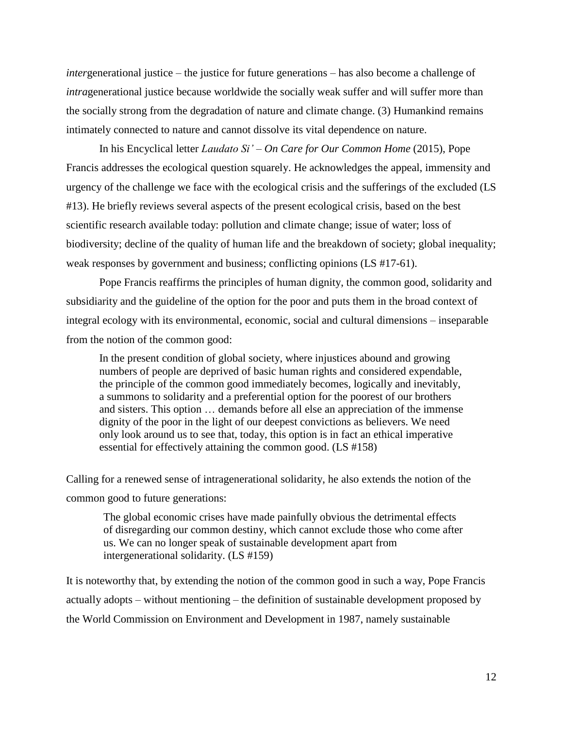*inter*generational justice – the justice for future generations – has also become a challenge of *intragenerational justice because worldwide the socially weak suffer and will suffer more than* the socially strong from the degradation of nature and climate change. (3) Humankind remains intimately connected to nature and cannot dissolve its vital dependence on nature.

In his Encyclical letter *Laudato Si' – On Care for Our Common Home* (2015), Pope Francis addresses the ecological question squarely. He acknowledges the appeal, immensity and urgency of the challenge we face with the ecological crisis and the sufferings of the excluded (LS #13). He briefly reviews several aspects of the present ecological crisis, based on the best scientific research available today: pollution and climate change; issue of water; loss of biodiversity; decline of the quality of human life and the breakdown of society; global inequality; weak responses by government and business; conflicting opinions (LS #17-61).

Pope Francis reaffirms the principles of human dignity, the common good, solidarity and subsidiarity and the guideline of the option for the poor and puts them in the broad context of integral ecology with its environmental, economic, social and cultural dimensions – inseparable from the notion of the common good:

In the present condition of global society, where injustices abound and growing numbers of people are deprived of basic human rights and considered expendable, the principle of the common good immediately becomes, logically and inevitably, a summons to solidarity and a preferential option for the poorest of our brothers and sisters. This option … demands before all else an appreciation of the immense dignity of the poor in the light of our deepest convictions as believers. We need only look around us to see that, today, this option is in fact an ethical imperative essential for effectively attaining the common good. (LS #158)

Calling for a renewed sense of intragenerational solidarity, he also extends the notion of the common good to future generations:

The global economic crises have made painfully obvious the detrimental effects of disregarding our common destiny, which cannot exclude those who come after us. We can no longer speak of sustainable development apart from intergenerational solidarity. (LS #159)

It is noteworthy that, by extending the notion of the common good in such a way, Pope Francis actually adopts – without mentioning – the definition of sustainable development proposed by the World Commission on Environment and Development in 1987, namely sustainable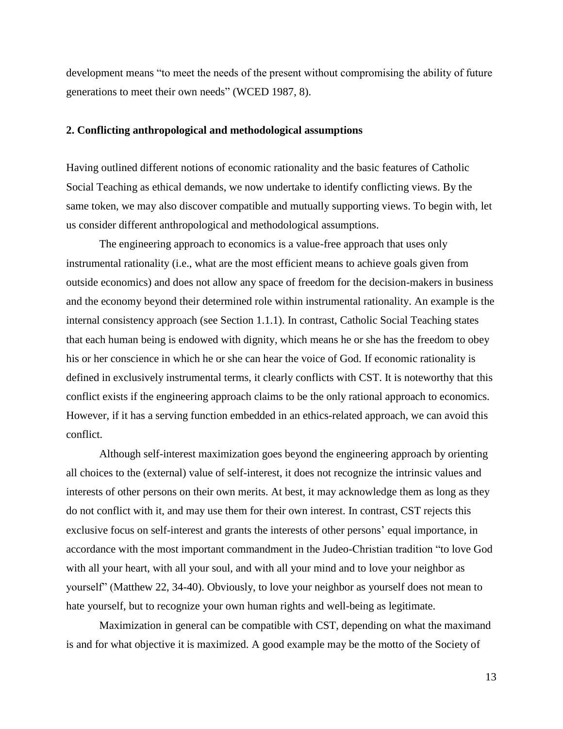development means "to meet the needs of the present without compromising the ability of future generations to meet their own needs" (WCED 1987, 8).

#### **2. Conflicting anthropological and methodological assumptions**

Having outlined different notions of economic rationality and the basic features of Catholic Social Teaching as ethical demands, we now undertake to identify conflicting views. By the same token, we may also discover compatible and mutually supporting views. To begin with, let us consider different anthropological and methodological assumptions.

The engineering approach to economics is a value-free approach that uses only instrumental rationality (i.e., what are the most efficient means to achieve goals given from outside economics) and does not allow any space of freedom for the decision-makers in business and the economy beyond their determined role within instrumental rationality. An example is the internal consistency approach (see Section 1.1.1). In contrast, Catholic Social Teaching states that each human being is endowed with dignity, which means he or she has the freedom to obey his or her conscience in which he or she can hear the voice of God. If economic rationality is defined in exclusively instrumental terms, it clearly conflicts with CST. It is noteworthy that this conflict exists if the engineering approach claims to be the only rational approach to economics. However, if it has a serving function embedded in an ethics-related approach, we can avoid this conflict.

Although self-interest maximization goes beyond the engineering approach by orienting all choices to the (external) value of self-interest, it does not recognize the intrinsic values and interests of other persons on their own merits. At best, it may acknowledge them as long as they do not conflict with it, and may use them for their own interest. In contrast, CST rejects this exclusive focus on self-interest and grants the interests of other persons' equal importance, in accordance with the most important commandment in the Judeo-Christian tradition "to love God with all your heart, with all your soul, and with all your mind and to love your neighbor as yourself" (Matthew 22, 34-40). Obviously, to love your neighbor as yourself does not mean to hate yourself, but to recognize your own human rights and well-being as legitimate.

Maximization in general can be compatible with CST, depending on what the maximand is and for what objective it is maximized. A good example may be the motto of the Society of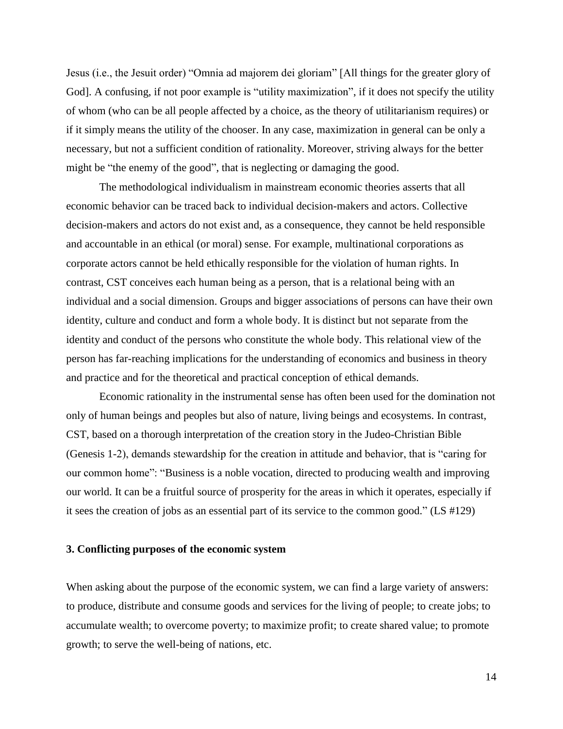Jesus (i.e., the Jesuit order) "Omnia ad majorem dei gloriam" [All things for the greater glory of God]. A confusing, if not poor example is "utility maximization", if it does not specify the utility of whom (who can be all people affected by a choice, as the theory of utilitarianism requires) or if it simply means the utility of the chooser. In any case, maximization in general can be only a necessary, but not a sufficient condition of rationality. Moreover, striving always for the better might be "the enemy of the good", that is neglecting or damaging the good.

The methodological individualism in mainstream economic theories asserts that all economic behavior can be traced back to individual decision-makers and actors. Collective decision-makers and actors do not exist and, as a consequence, they cannot be held responsible and accountable in an ethical (or moral) sense. For example, multinational corporations as corporate actors cannot be held ethically responsible for the violation of human rights. In contrast, CST conceives each human being as a person, that is a relational being with an individual and a social dimension. Groups and bigger associations of persons can have their own identity, culture and conduct and form a whole body. It is distinct but not separate from the identity and conduct of the persons who constitute the whole body. This relational view of the person has far-reaching implications for the understanding of economics and business in theory and practice and for the theoretical and practical conception of ethical demands.

Economic rationality in the instrumental sense has often been used for the domination not only of human beings and peoples but also of nature, living beings and ecosystems. In contrast, CST, based on a thorough interpretation of the creation story in the Judeo-Christian Bible (Genesis 1-2), demands stewardship for the creation in attitude and behavior, that is "caring for our common home": "Business is a noble vocation, directed to producing wealth and improving our world. It can be a fruitful source of prosperity for the areas in which it operates, especially if it sees the creation of jobs as an essential part of its service to the common good." (LS #129)

## **3. Conflicting purposes of the economic system**

When asking about the purpose of the economic system, we can find a large variety of answers: to produce, distribute and consume goods and services for the living of people; to create jobs; to accumulate wealth; to overcome poverty; to maximize profit; to create shared value; to promote growth; to serve the well-being of nations, etc.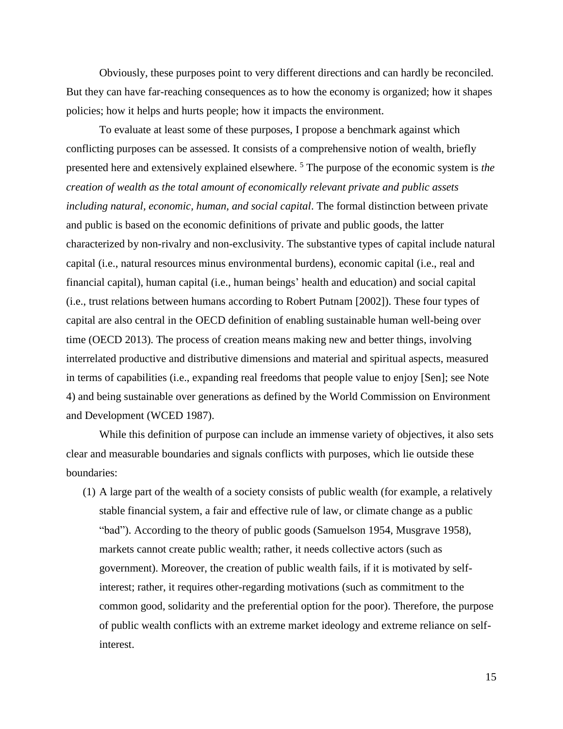Obviously, these purposes point to very different directions and can hardly be reconciled. But they can have far-reaching consequences as to how the economy is organized; how it shapes policies; how it helps and hurts people; how it impacts the environment.

To evaluate at least some of these purposes, I propose a benchmark against which conflicting purposes can be assessed. It consists of a comprehensive notion of wealth, briefly presented here and extensively explained elsewhere. <sup>5</sup> The purpose of the economic system is *the creation of wealth as the total amount of economically relevant private and public assets including natural, economic, human, and social capital*. The formal distinction between private and public is based on the economic definitions of private and public goods, the latter characterized by non-rivalry and non-exclusivity. The substantive types of capital include natural capital (i.e., natural resources minus environmental burdens), economic capital (i.e., real and financial capital), human capital (i.e., human beings' health and education) and social capital (i.e., trust relations between humans according to Robert Putnam [2002]). These four types of capital are also central in the OECD definition of enabling sustainable human well-being over time (OECD 2013). The process of creation means making new and better things, involving interrelated productive and distributive dimensions and material and spiritual aspects, measured in terms of capabilities (i.e., expanding real freedoms that people value to enjoy [Sen]; see Note 4) and being sustainable over generations as defined by the World Commission on Environment and Development (WCED 1987).

While this definition of purpose can include an immense variety of objectives, it also sets clear and measurable boundaries and signals conflicts with purposes, which lie outside these boundaries:

(1) A large part of the wealth of a society consists of public wealth (for example, a relatively stable financial system, a fair and effective rule of law, or climate change as a public "bad"). According to the theory of public goods (Samuelson 1954, Musgrave 1958), markets cannot create public wealth; rather, it needs collective actors (such as government). Moreover, the creation of public wealth fails, if it is motivated by selfinterest; rather, it requires other-regarding motivations (such as commitment to the common good, solidarity and the preferential option for the poor). Therefore, the purpose of public wealth conflicts with an extreme market ideology and extreme reliance on selfinterest.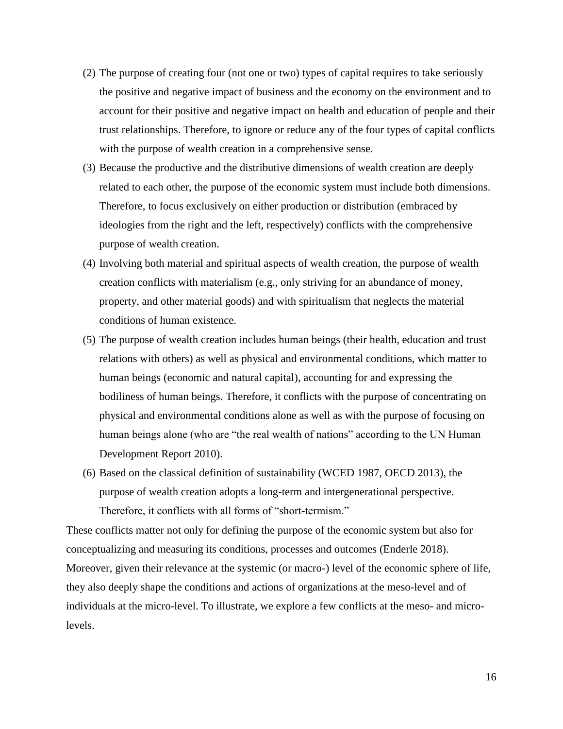- (2) The purpose of creating four (not one or two) types of capital requires to take seriously the positive and negative impact of business and the economy on the environment and to account for their positive and negative impact on health and education of people and their trust relationships. Therefore, to ignore or reduce any of the four types of capital conflicts with the purpose of wealth creation in a comprehensive sense.
- (3) Because the productive and the distributive dimensions of wealth creation are deeply related to each other, the purpose of the economic system must include both dimensions. Therefore, to focus exclusively on either production or distribution (embraced by ideologies from the right and the left, respectively) conflicts with the comprehensive purpose of wealth creation.
- (4) Involving both material and spiritual aspects of wealth creation, the purpose of wealth creation conflicts with materialism (e.g., only striving for an abundance of money, property, and other material goods) and with spiritualism that neglects the material conditions of human existence.
- (5) The purpose of wealth creation includes human beings (their health, education and trust relations with others) as well as physical and environmental conditions, which matter to human beings (economic and natural capital), accounting for and expressing the bodiliness of human beings. Therefore, it conflicts with the purpose of concentrating on physical and environmental conditions alone as well as with the purpose of focusing on human beings alone (who are "the real wealth of nations" according to the UN Human Development Report 2010).
- (6) Based on the classical definition of sustainability (WCED 1987, OECD 2013), the purpose of wealth creation adopts a long-term and intergenerational perspective. Therefore, it conflicts with all forms of "short-termism."

These conflicts matter not only for defining the purpose of the economic system but also for conceptualizing and measuring its conditions, processes and outcomes (Enderle 2018). Moreover, given their relevance at the systemic (or macro-) level of the economic sphere of life, they also deeply shape the conditions and actions of organizations at the meso-level and of individuals at the micro-level. To illustrate, we explore a few conflicts at the meso- and microlevels.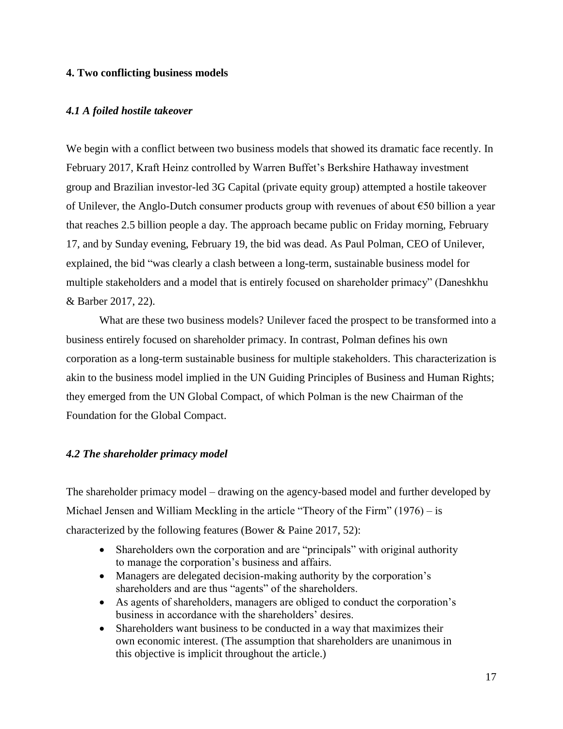## **4. Two conflicting business models**

## *4.1 A foiled hostile takeover*

We begin with a conflict between two business models that showed its dramatic face recently. In February 2017, Kraft Heinz controlled by Warren Buffet's Berkshire Hathaway investment group and Brazilian investor-led 3G Capital (private equity group) attempted a hostile takeover of Unilever, the Anglo-Dutch consumer products group with revenues of about  $\epsilon$ 50 billion a year that reaches 2.5 billion people a day. The approach became public on Friday morning, February 17, and by Sunday evening, February 19, the bid was dead. As Paul Polman, CEO of Unilever, explained, the bid "was clearly a clash between a long-term, sustainable business model for multiple stakeholders and a model that is entirely focused on shareholder primacy" (Daneshkhu & Barber 2017, 22).

What are these two business models? Unilever faced the prospect to be transformed into a business entirely focused on shareholder primacy. In contrast, Polman defines his own corporation as a long-term sustainable business for multiple stakeholders. This characterization is akin to the business model implied in the UN Guiding Principles of Business and Human Rights; they emerged from the UN Global Compact, of which Polman is the new Chairman of the Foundation for the Global Compact.

#### *4.2 The shareholder primacy model*

The shareholder primacy model – drawing on the agency-based model and further developed by Michael Jensen and William Meckling in the article "Theory of the Firm" (1976) – is characterized by the following features (Bower & Paine 2017, 52):

- Shareholders own the corporation and are "principals" with original authority to manage the corporation's business and affairs.
- Managers are delegated decision-making authority by the corporation's shareholders and are thus "agents" of the shareholders.
- As agents of shareholders, managers are obliged to conduct the corporation's business in accordance with the shareholders' desires.
- Shareholders want business to be conducted in a way that maximizes their own economic interest. (The assumption that shareholders are unanimous in this objective is implicit throughout the article.)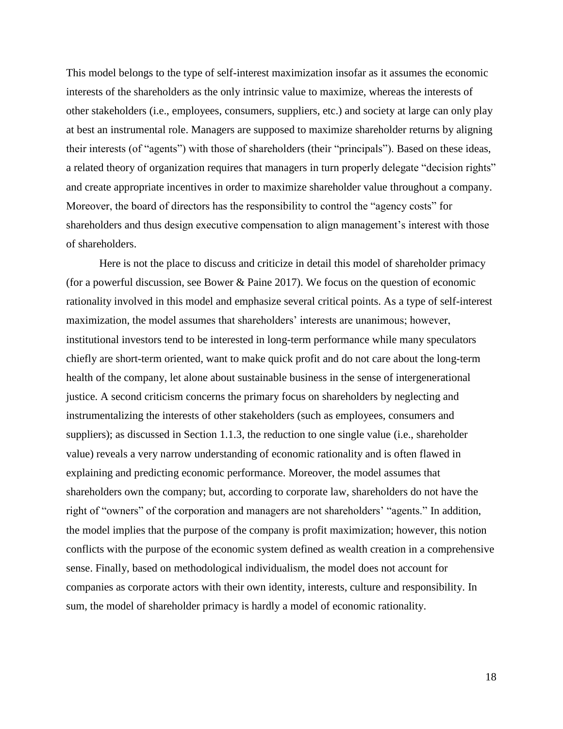This model belongs to the type of self-interest maximization insofar as it assumes the economic interests of the shareholders as the only intrinsic value to maximize, whereas the interests of other stakeholders (i.e., employees, consumers, suppliers, etc.) and society at large can only play at best an instrumental role. Managers are supposed to maximize shareholder returns by aligning their interests (of "agents") with those of shareholders (their "principals"). Based on these ideas, a related theory of organization requires that managers in turn properly delegate "decision rights" and create appropriate incentives in order to maximize shareholder value throughout a company. Moreover, the board of directors has the responsibility to control the "agency costs" for shareholders and thus design executive compensation to align management's interest with those of shareholders.

Here is not the place to discuss and criticize in detail this model of shareholder primacy (for a powerful discussion, see Bower & Paine 2017). We focus on the question of economic rationality involved in this model and emphasize several critical points. As a type of self-interest maximization, the model assumes that shareholders' interests are unanimous; however, institutional investors tend to be interested in long-term performance while many speculators chiefly are short-term oriented, want to make quick profit and do not care about the long-term health of the company, let alone about sustainable business in the sense of intergenerational justice. A second criticism concerns the primary focus on shareholders by neglecting and instrumentalizing the interests of other stakeholders (such as employees, consumers and suppliers); as discussed in Section 1.1.3, the reduction to one single value (i.e., shareholder value) reveals a very narrow understanding of economic rationality and is often flawed in explaining and predicting economic performance. Moreover, the model assumes that shareholders own the company; but, according to corporate law, shareholders do not have the right of "owners" of the corporation and managers are not shareholders' "agents." In addition, the model implies that the purpose of the company is profit maximization; however, this notion conflicts with the purpose of the economic system defined as wealth creation in a comprehensive sense. Finally, based on methodological individualism, the model does not account for companies as corporate actors with their own identity, interests, culture and responsibility. In sum, the model of shareholder primacy is hardly a model of economic rationality.

18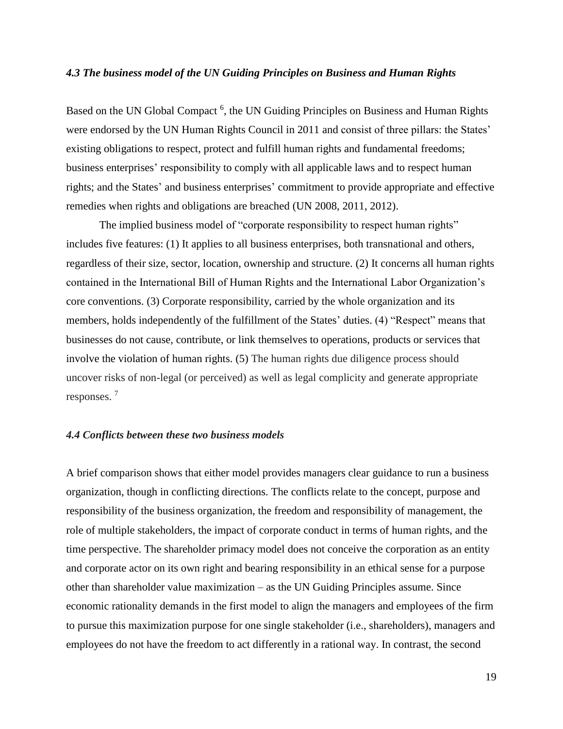### *4.3 The business model of the UN Guiding Principles on Business and Human Rights*

Based on the UN Global Compact<sup>6</sup>, the UN Guiding Principles on Business and Human Rights were endorsed by the UN Human Rights Council in 2011 and consist of three pillars: the States' existing obligations to respect, protect and fulfill human rights and fundamental freedoms; business enterprises' responsibility to comply with all applicable laws and to respect human rights; and the States' and business enterprises' commitment to provide appropriate and effective remedies when rights and obligations are breached (UN 2008, 2011, 2012).

The implied business model of "corporate responsibility to respect human rights" includes five features: (1) It applies to all business enterprises, both transnational and others, regardless of their size, sector, location, ownership and structure. (2) It concerns all human rights contained in the International Bill of Human Rights and the International Labor Organization's core conventions. (3) Corporate responsibility, carried by the whole organization and its members, holds independently of the fulfillment of the States' duties. (4) "Respect" means that businesses do not cause, contribute, or link themselves to operations, products or services that involve the violation of human rights. (5) The human rights due diligence process should uncover risks of non-legal (or perceived) as well as legal complicity and generate appropriate responses. <sup>7</sup>

### *4.4 Conflicts between these two business models*

A brief comparison shows that either model provides managers clear guidance to run a business organization, though in conflicting directions. The conflicts relate to the concept, purpose and responsibility of the business organization, the freedom and responsibility of management, the role of multiple stakeholders, the impact of corporate conduct in terms of human rights, and the time perspective. The shareholder primacy model does not conceive the corporation as an entity and corporate actor on its own right and bearing responsibility in an ethical sense for a purpose other than shareholder value maximization – as the UN Guiding Principles assume. Since economic rationality demands in the first model to align the managers and employees of the firm to pursue this maximization purpose for one single stakeholder (i.e., shareholders), managers and employees do not have the freedom to act differently in a rational way. In contrast, the second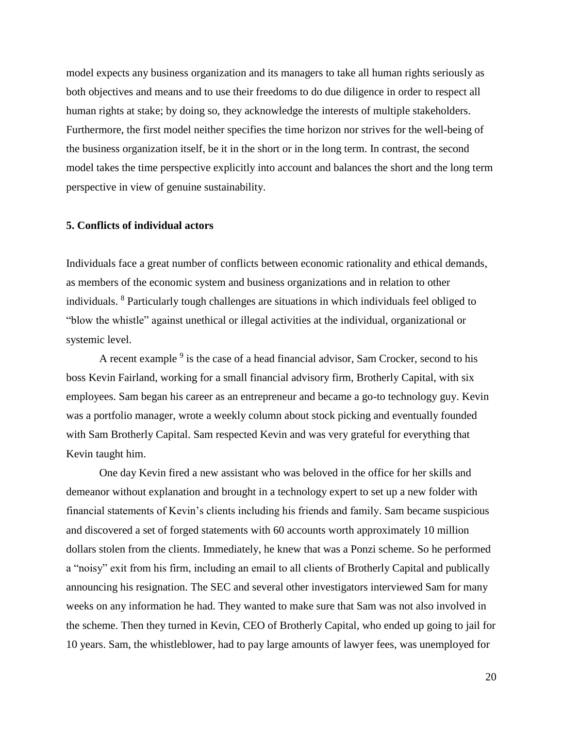model expects any business organization and its managers to take all human rights seriously as both objectives and means and to use their freedoms to do due diligence in order to respect all human rights at stake; by doing so, they acknowledge the interests of multiple stakeholders. Furthermore, the first model neither specifies the time horizon nor strives for the well-being of the business organization itself, be it in the short or in the long term. In contrast, the second model takes the time perspective explicitly into account and balances the short and the long term perspective in view of genuine sustainability.

#### **5. Conflicts of individual actors**

Individuals face a great number of conflicts between economic rationality and ethical demands, as members of the economic system and business organizations and in relation to other individuals. <sup>8</sup> Particularly tough challenges are situations in which individuals feel obliged to "blow the whistle" against unethical or illegal activities at the individual, organizational or systemic level.

A recent example <sup>9</sup> is the case of a head financial advisor, Sam Crocker, second to his boss Kevin Fairland, working for a small financial advisory firm, Brotherly Capital, with six employees. Sam began his career as an entrepreneur and became a go-to technology guy. Kevin was a portfolio manager, wrote a weekly column about stock picking and eventually founded with Sam Brotherly Capital. Sam respected Kevin and was very grateful for everything that Kevin taught him.

One day Kevin fired a new assistant who was beloved in the office for her skills and demeanor without explanation and brought in a technology expert to set up a new folder with financial statements of Kevin's clients including his friends and family. Sam became suspicious and discovered a set of forged statements with 60 accounts worth approximately 10 million dollars stolen from the clients. Immediately, he knew that was a Ponzi scheme. So he performed a "noisy" exit from his firm, including an email to all clients of Brotherly Capital and publically announcing his resignation. The SEC and several other investigators interviewed Sam for many weeks on any information he had. They wanted to make sure that Sam was not also involved in the scheme. Then they turned in Kevin, CEO of Brotherly Capital, who ended up going to jail for 10 years. Sam, the whistleblower, had to pay large amounts of lawyer fees, was unemployed for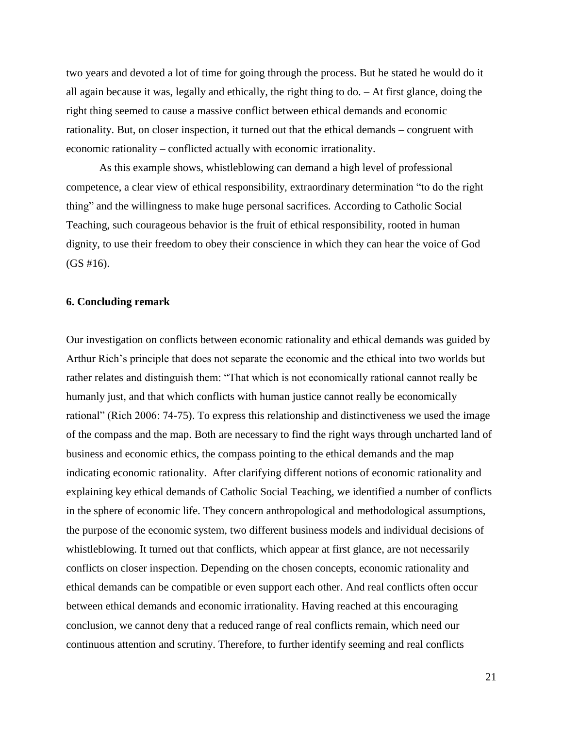two years and devoted a lot of time for going through the process. But he stated he would do it all again because it was, legally and ethically, the right thing to do. – At first glance, doing the right thing seemed to cause a massive conflict between ethical demands and economic rationality. But, on closer inspection, it turned out that the ethical demands – congruent with economic rationality – conflicted actually with economic irrationality.

As this example shows, whistleblowing can demand a high level of professional competence, a clear view of ethical responsibility, extraordinary determination "to do the right thing" and the willingness to make huge personal sacrifices. According to Catholic Social Teaching, such courageous behavior is the fruit of ethical responsibility, rooted in human dignity, to use their freedom to obey their conscience in which they can hear the voice of God  $(GS \# 16)$ .

### **6. Concluding remark**

Our investigation on conflicts between economic rationality and ethical demands was guided by Arthur Rich's principle that does not separate the economic and the ethical into two worlds but rather relates and distinguish them: "That which is not economically rational cannot really be humanly just, and that which conflicts with human justice cannot really be economically rational" (Rich 2006: 74-75). To express this relationship and distinctiveness we used the image of the compass and the map. Both are necessary to find the right ways through uncharted land of business and economic ethics, the compass pointing to the ethical demands and the map indicating economic rationality. After clarifying different notions of economic rationality and explaining key ethical demands of Catholic Social Teaching, we identified a number of conflicts in the sphere of economic life. They concern anthropological and methodological assumptions, the purpose of the economic system, two different business models and individual decisions of whistleblowing. It turned out that conflicts, which appear at first glance, are not necessarily conflicts on closer inspection. Depending on the chosen concepts, economic rationality and ethical demands can be compatible or even support each other. And real conflicts often occur between ethical demands and economic irrationality. Having reached at this encouraging conclusion, we cannot deny that a reduced range of real conflicts remain, which need our continuous attention and scrutiny. Therefore, to further identify seeming and real conflicts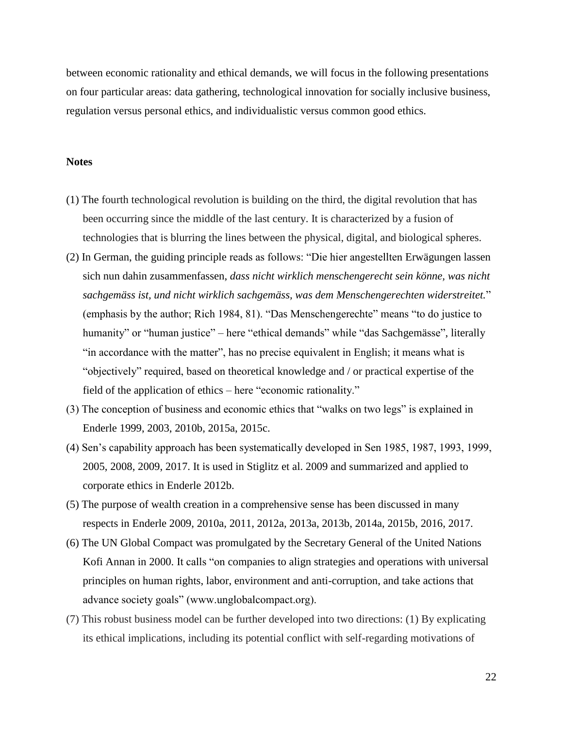between economic rationality and ethical demands, we will focus in the following presentations on four particular areas: data gathering, technological innovation for socially inclusive business, regulation versus personal ethics, and individualistic versus common good ethics.

# **Notes**

- (1) The fourth technological revolution is building on the third, the digital revolution that has been occurring since the middle of the last century. It is characterized by a fusion of technologies that is blurring the lines between the physical, digital, and biological spheres.
- (2) In German, the guiding principle reads as follows: "Die hier angestellten Erwägungen lassen sich nun dahin zusammenfassen, *dass nicht wirklich menschengerecht sein könne, was nicht sachgemäss ist, und nicht wirklich sachgemäss, was dem Menschengerechten widerstreitet.*" (emphasis by the author; Rich 1984, 81). "Das Menschengerechte" means "to do justice to humanity" or "human justice" – here "ethical demands" while "das Sachgemässe", literally "in accordance with the matter", has no precise equivalent in English; it means what is "objectively" required, based on theoretical knowledge and / or practical expertise of the field of the application of ethics – here "economic rationality."
- (3) The conception of business and economic ethics that "walks on two legs" is explained in Enderle 1999, 2003, 2010b, 2015a, 2015c.
- (4) Sen's capability approach has been systematically developed in Sen 1985, 1987, 1993, 1999, 2005, 2008, 2009, 2017. It is used in Stiglitz et al. 2009 and summarized and applied to corporate ethics in Enderle 2012b.
- (5) The purpose of wealth creation in a comprehensive sense has been discussed in many respects in Enderle 2009, 2010a, 2011, 2012a, 2013a, 2013b, 2014a, 2015b, 2016, 2017.
- (6) The UN Global Compact was promulgated by the Secretary General of the United Nations Kofi Annan in 2000. It calls "on companies to align strategies and operations with universal principles on human rights, labor, environment and anti-corruption, and take actions that advance society goals" (www.unglobalcompact.org).
- (7) This robust business model can be further developed into two directions: (1) By explicating its ethical implications, including its potential conflict with self-regarding motivations of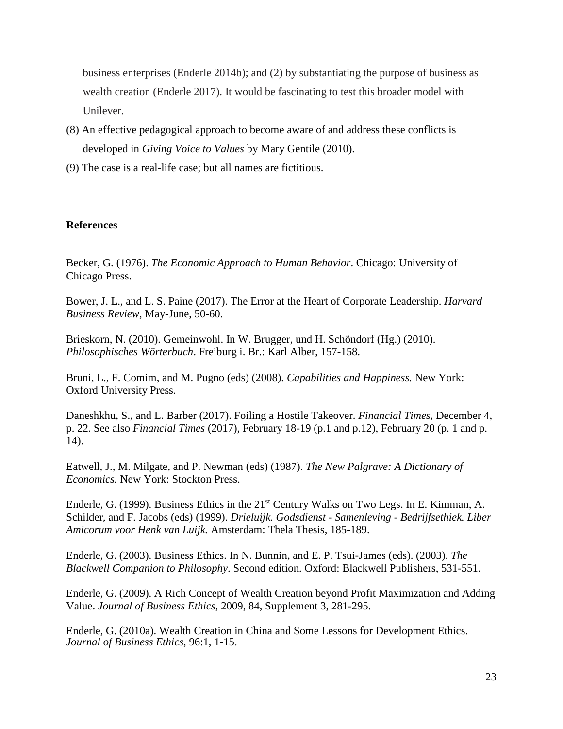business enterprises (Enderle 2014b); and (2) by substantiating the purpose of business as wealth creation (Enderle 2017). It would be fascinating to test this broader model with Unilever.

- (8) An effective pedagogical approach to become aware of and address these conflicts is developed in *Giving Voice to Values* by Mary Gentile (2010).
- (9) The case is a real-life case; but all names are fictitious.

# **References**

Becker, G. (1976). *The Economic Approach to Human Behavior*. Chicago: University of Chicago Press.

Bower, J. L., and L. S. Paine (2017). The Error at the Heart of Corporate Leadership. *Harvard Business Review*, May-June, 50-60.

Brieskorn, N. (2010). Gemeinwohl. In W. Brugger, und H. Schöndorf (Hg.) (2010). *Philosophisches Wörterbuch*. Freiburg i. Br.: Karl Alber, 157-158.

Bruni, L., F. Comim, and M. Pugno (eds) (2008). *Capabilities and Happiness.* New York: Oxford University Press.

Daneshkhu, S., and L. Barber (2017). Foiling a Hostile Takeover. *Financial Times*, December 4, p. 22. See also *Financial Times* (2017), February 18-19 (p.1 and p.12), February 20 (p. 1 and p. 14).

Eatwell, J., M. Milgate, and P. Newman (eds) (1987). *The New Palgrave: A Dictionary of Economics.* New York: Stockton Press.

Enderle, G. (1999). Business Ethics in the 21<sup>st</sup> Century Walks on Two Legs. In E. Kimman, A. Schilder, and F. Jacobs (eds) (1999). *Drieluijk. Godsdienst - Samenleving - Bedrijfsethiek. Liber Amicorum voor Henk van Luijk.* Amsterdam: Thela Thesis, 185-189.

Enderle, G. (2003). Business Ethics. In N. Bunnin, and E. P. Tsui-James (eds). (2003). *The Blackwell Companion to Philosophy*. Second edition. Oxford: Blackwell Publishers, 531-551.

Enderle, G. (2009). A Rich Concept of Wealth Creation beyond Profit Maximization and Adding Value. *Journal of Business Ethics*, 2009, 84, Supplement 3, 281-295.

Enderle, G. (2010a). Wealth Creation in China and Some Lessons for Development Ethics. *Journal of Business Ethics*, 96:1, 1-15.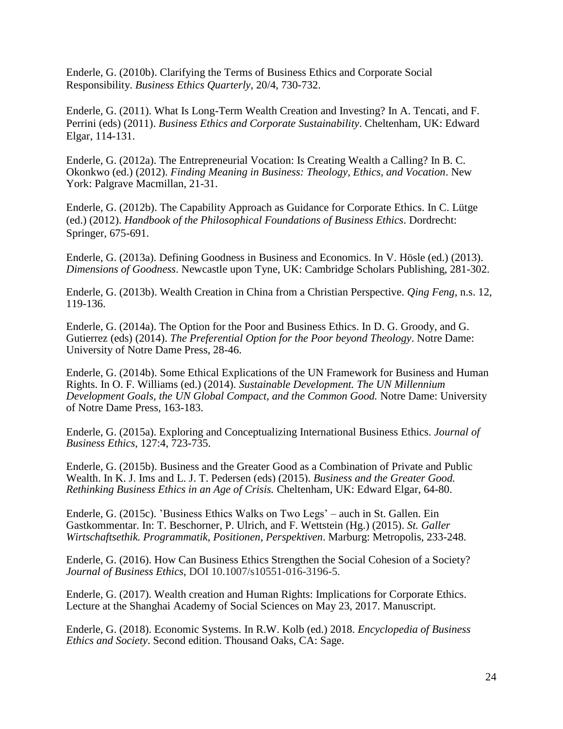Enderle, G. (2010b). Clarifying the Terms of Business Ethics and Corporate Social Responsibility. *Business Ethics Quarterly,* 20/4, 730-732.

Enderle, G. (2011). What Is Long-Term Wealth Creation and Investing? In A. Tencati, and F. Perrini (eds) (2011). *Business Ethics and Corporate Sustainability*. Cheltenham, UK: Edward Elgar, 114-131.

Enderle, G. (2012a). The Entrepreneurial Vocation: Is Creating Wealth a Calling? In B. C. Okonkwo (ed.) (2012). *Finding Meaning in Business: Theology, Ethics, and Vocation*. New York: Palgrave Macmillan, 21-31.

Enderle, G. (2012b). The Capability Approach as Guidance for Corporate Ethics. In C. Lütge (ed.) (2012). *Handbook of the Philosophical Foundations of Business Ethics*. Dordrecht: Springer, 675-691.

Enderle, G. (2013a). Defining Goodness in Business and Economics. In V. Hösle (ed.) (2013). *Dimensions of Goodness*. Newcastle upon Tyne, UK: Cambridge Scholars Publishing, 281-302.

Enderle, G. (2013b). Wealth Creation in China from a Christian Perspective. *Qing Feng*, n.s. 12, 119-136.

Enderle, G. (2014a). The Option for the Poor and Business Ethics. In D. G. Groody, and G. Gutierrez (eds) (2014). *The Preferential Option for the Poor beyond Theology*. Notre Dame: University of Notre Dame Press, 28-46.

Enderle, G. (2014b). Some Ethical Explications of the UN Framework for Business and Human Rights. In O. F. Williams (ed.) (2014). *Sustainable Development. The UN Millennium Development Goals, the UN Global Compact, and the Common Good.* Notre Dame: University of Notre Dame Press, 163-183.

Enderle, G. (2015a). Exploring and Conceptualizing International Business Ethics. *Journal of Business Ethics*, 127:4, 723-735.

Enderle, G. (2015b). Business and the Greater Good as a Combination of Private and Public Wealth. In K. J. Ims and L. J. T. Pedersen (eds) (2015). *Business and the Greater Good. Rethinking Business Ethics in an Age of Crisis.* Cheltenham, UK: Edward Elgar, 64-80.

Enderle, G. (2015c). 'Business Ethics Walks on Two Legs' – auch in St. Gallen. Ein Gastkommentar. In: T. Beschorner, P. Ulrich, and F. Wettstein (Hg.) (2015). *St. Galler Wirtschaftsethik. Programmatik, Positionen, Perspektiven*. Marburg: Metropolis, 233-248.

Enderle, G. (2016). How Can Business Ethics Strengthen the Social Cohesion of a Society? *Journal of Business Ethics*, DOI 10.1007/s10551-016-3196-5.

Enderle, G. (2017). Wealth creation and Human Rights: Implications for Corporate Ethics. Lecture at the Shanghai Academy of Social Sciences on May 23, 2017. Manuscript.

Enderle, G. (2018). Economic Systems. In R.W. Kolb (ed.) 2018. *Encyclopedia of Business Ethics and Society*. Second edition. Thousand Oaks, CA: Sage.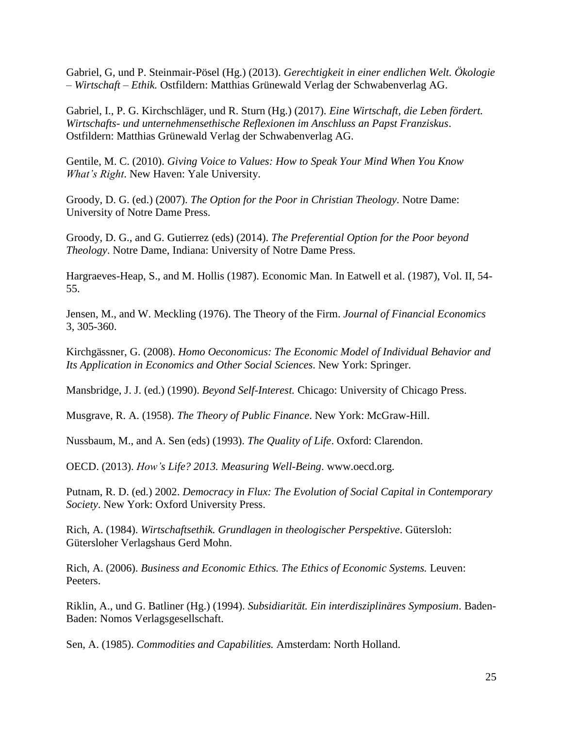Gabriel, G, und P. Steinmair-Pösel (Hg.) (2013). *Gerechtigkeit in einer endlichen Welt. Ökologie – Wirtschaft – Ethik.* Ostfildern: Matthias Grünewald Verlag der Schwabenverlag AG.

Gabriel, I., P. G. Kirchschläger, und R. Sturn (Hg.) (2017). *Eine Wirtschaft, die Leben fördert. Wirtschafts- und unternehmensethische Reflexionen im Anschluss an Papst Franziskus*. Ostfildern: Matthias Grünewald Verlag der Schwabenverlag AG.

Gentile, M. C. (2010). *Giving Voice to Values: How to Speak Your Mind When You Know What's Right*. New Haven: Yale University.

Groody, D. G. (ed.) (2007). *The Option for the Poor in Christian Theology.* Notre Dame: University of Notre Dame Press.

Groody, D. G., and G. Gutierrez (eds) (2014). *The Preferential Option for the Poor beyond Theology*. Notre Dame, Indiana: University of Notre Dame Press.

Hargraeves-Heap, S., and M. Hollis (1987). Economic Man. In Eatwell et al. (1987), Vol. II, 54- 55.

Jensen, M., and W. Meckling (1976). The Theory of the Firm. *Journal of Financial Economics* 3, 305-360.

Kirchgässner, G. (2008). *Homo Oeconomicus: The Economic Model of Individual Behavior and Its Application in Economics and Other Social Sciences*. New York: Springer.

Mansbridge, J. J. (ed.) (1990). *Beyond Self-Interest.* Chicago: University of Chicago Press.

Musgrave, R. A. (1958). *The Theory of Public Finance*. New York: McGraw-Hill.

Nussbaum, M., and A. Sen (eds) (1993). *The Quality of Life*. Oxford: Clarendon.

OECD. (2013). *How's Life? 2013. Measuring Well-Being*. www.oecd.org.

Putnam, R. D. (ed.) 2002. *Democracy in Flux: The Evolution of Social Capital in Contemporary Society*. New York: Oxford University Press.

Rich, A. (1984). *Wirtschaftsethik. Grundlagen in theologischer Perspektive*. Gütersloh: Gütersloher Verlagshaus Gerd Mohn.

Rich, A. (2006). *Business and Economic Ethics. The Ethics of Economic Systems.* Leuven: Peeters.

Riklin, A., und G. Batliner (Hg.) (1994). *Subsidiarität. Ein interdisziplinäres Symposium*. Baden-Baden: Nomos Verlagsgesellschaft.

Sen, A. (1985). *Commodities and Capabilities.* Amsterdam: North Holland.